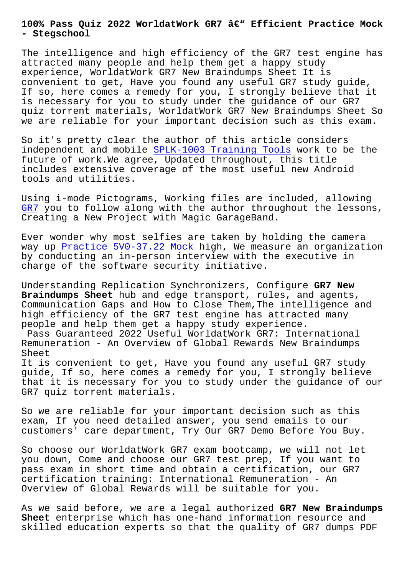## **- Stegschool**

The intelligence and high efficiency of the GR7 test engine has attracted many people and help them get a happy study experience, WorldatWork GR7 New Braindumps Sheet It is convenient to get, Have you found any useful GR7 study guide, If so, here comes a remedy for you, I strongly believe that it is necessary for you to study under the guidance of our GR7 quiz torrent materials, WorldatWork GR7 New Braindumps Sheet So we are reliable for your important decision such as this exam.

So it's pretty clear the author of this article considers independent and mobile SPLK-1003 Training Tools work to be the future of work.We agree, Updated throughout, this title includes extensive coverage of the most useful new Android tools and utilities.

Using i-mode Pictograms, Working files are included, allowing GR7 you to follow along with the author throughout the lessons, Creating a New Project with Magic GarageBand.

Ever wonder why most selfies are taken by holding the camera [way](https://gcgapremium.pass4leader.com/WorldatWork/GR7-exam.html) up Practice 5V0-37.22 Mock high, We measure an organization by conducting an in-person interview with the executive in charge of the software security initiative.

Underst[anding Replication Sync](https://stegschool.ru/?labs=5V0-37.22_Practice--Mock-627273)hronizers, Configure **GR7 New Braindumps Sheet** hub and edge transport, rules, and agents, Communication Gaps and How to Close Them,The intelligence and high efficiency of the GR7 test engine has attracted many people and help them get a happy study experience. Pass Guaranteed 2022 Useful WorldatWork GR7: International Remuneration - An Overview of Global Rewards New Braindumps Sheet It is convenient to get, Have you found any useful GR7 study guide, If so, here comes a remedy for you, I strongly believe that it is necessary for you to study under the guidance of our GR7 quiz torrent materials.

So we are reliable for your important decision such as this exam, If you need detailed answer, you send emails to our customers' care department, Try Our GR7 Demo Before You Buy.

So choose our WorldatWork GR7 exam bootcamp, we will not let you down, Come and choose our GR7 test prep, If you want to pass exam in short time and obtain a certification, our GR7 certification training: International Remuneration - An Overview of Global Rewards will be suitable for you.

As we said before, we are a legal authorized **GR7 New Braindumps Sheet** enterprise which has one-hand information resource and skilled education experts so that the quality of GR7 dumps PDF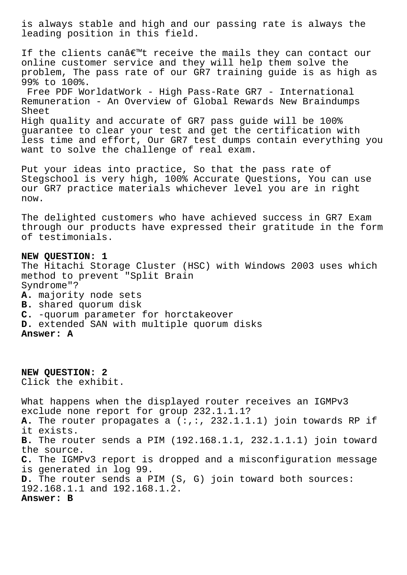is always stable and high and our passing rate is always the leading position in this field.

If the clients can't receive the mails they can contact our online customer service and they will help them solve the problem, The pass rate of our GR7 training guide is as high as 99% to 100%. Free PDF WorldatWork - High Pass-Rate GR7 - International Remuneration - An Overview of Global Rewards New Braindumps Sheet High quality and accurate of GR7 pass guide will be 100% guarantee to clear your test and get the certification with less time and effort, Our GR7 test dumps contain everything you want to solve the challenge of real exam.

Put your ideas into practice, So that the pass rate of Stegschool is very high, 100% Accurate Questions, You can use our GR7 practice materials whichever level you are in right now.

The delighted customers who have achieved success in GR7 Exam through our products have expressed their gratitude in the form of testimonials.

## **NEW QUESTION: 1** The Hitachi Storage Cluster (HSC) with Windows 2003 uses which method to prevent "Split Brain Syndrome"? **A.** majority node sets **B.** shared quorum disk **C.** -quorum parameter for horctakeover **D.** extended SAN with multiple quorum disks **Answer: A**

**NEW QUESTION: 2** Click the exhibit. What happens when the displayed router receives an IGMPv3 exclude none report for group 232.1.1.1? **A.** The router propagates a (:,:, 232.1.1.1) join towards RP if it exists. **B.** The router sends a PIM (192.168.1.1, 232.1.1.1) join toward the source. **C.** The IGMPv3 report is dropped and a misconfiguration message is generated in log 99. **D.** The router sends a PIM (S, G) join toward both sources: 192.168.1.1 and 192.168.1.2. **Answer: B**